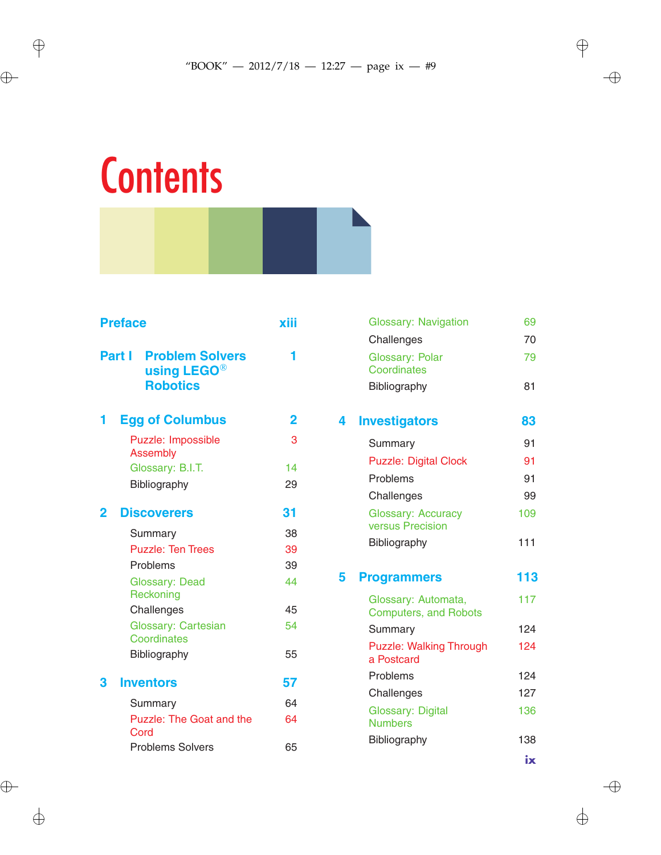## **Contents**

| <b>Preface</b>                                                                        | xiii |
|---------------------------------------------------------------------------------------|------|
| <b>Part I</b><br><b>Problem Solvers</b><br>using LEGO <sup>®</sup><br><b>Robotics</b> |      |
| <b>Egg of Columbus</b><br>1                                                           | 2    |
| Puzzle: Impossible<br>Assembly                                                        | 3    |
| Glossary: B.I.T.                                                                      | 14   |
| Bibliography                                                                          | 29   |
| <b>Discoverers</b><br>2                                                               | 31   |
| Summary                                                                               | 38   |
| <b>Puzzle: Ten Trees</b>                                                              | 39   |
| Problems                                                                              | 39   |
| <b>Glossary: Dead</b><br>Reckoning                                                    | 44   |
| Challenges                                                                            | 45   |
| <b>Glossary: Cartesian</b><br>Coordinates                                             | 54   |
| Bibliography                                                                          | 55   |
| <b>Inventors</b><br>3                                                                 | 57   |
| Summary                                                                               | 64   |
| <b>Puzzle: The Goat and the</b><br>Cord                                               | 64   |
| <b>Problems Solvers</b>                                                               | 65   |

|    | <b>Glossary: Navigation</b>                         | 69            |
|----|-----------------------------------------------------|---------------|
|    | Challenges                                          | 70            |
|    | <b>Glossary: Polar</b><br>Coordinates               | 79            |
|    | Bibliography                                        | 81            |
| Δ. | <b>Investigators</b>                                | 83            |
|    | Summary                                             | 91            |
|    | <b>Puzzle: Digital Clock</b>                        | 91            |
|    | Problems                                            | 91            |
|    | Challenges                                          | 99            |
|    | <b>Glossary: Accuracy</b><br>versus Precision       | 109           |
|    | Bibliography                                        | 111           |
| 5  | <b>Programmers</b>                                  | 113           |
|    | Glossary: Automata,<br><b>Computers, and Robots</b> | 117           |
|    | Summary                                             | 124           |
|    | <b>Puzzle: Walking Through</b><br>a Postcard        | 124           |
|    | Problems                                            | 124           |
|    | Challenges                                          | 127           |
|    | Glossary: Digital<br><b>Numbers</b>                 | 136           |
|    | Bibliography                                        | 138           |
|    |                                                     | $i\mathbf{x}$ |

 $\bigoplus$ 

 $\bigoplus$ 

 $\bigoplus$ 

 $\bigoplus$ 

 $\bigoplus$ 

 $\bigoplus$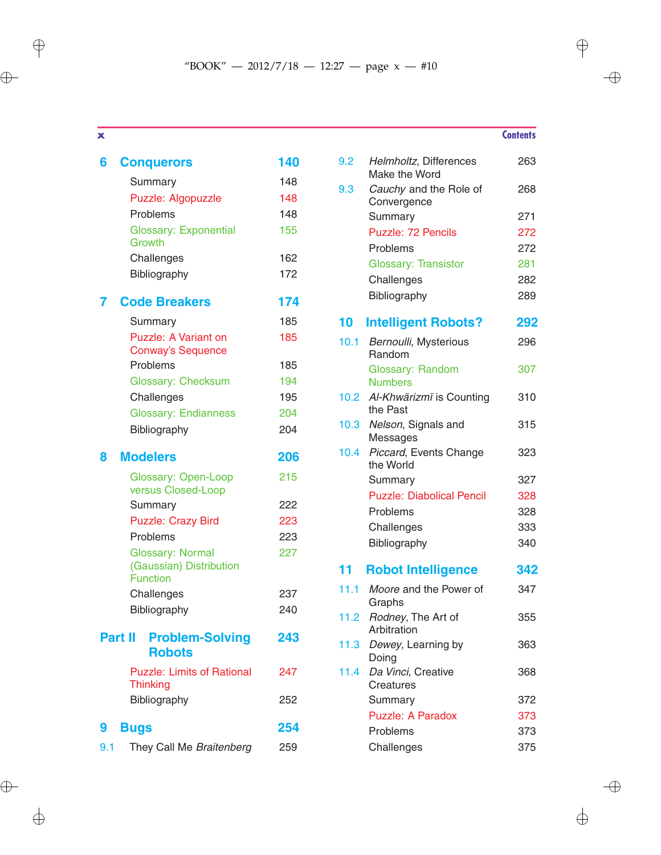$\bigoplus$ 

 $\bigoplus$ 

| 6   | <b>Conquerors</b>                                    | 140 |
|-----|------------------------------------------------------|-----|
|     | Summary                                              | 148 |
|     | Puzzle: Algopuzzle                                   | 148 |
|     | Problems                                             | 148 |
|     | <b>Glossary: Exponential</b><br>Growth               | 155 |
|     | Challenges                                           | 162 |
|     | Bibliography                                         | 172 |
|     | <b>Code Breakers</b>                                 | 174 |
|     | Summary                                              | 185 |
|     | Puzzle: A Variant on<br><b>Conway's Sequence</b>     | 185 |
|     | Problems                                             | 185 |
|     | Glossary: Checksum                                   | 194 |
|     | Challenges                                           | 195 |
|     | <b>Glossary: Endianness</b>                          | 204 |
|     | Bibliography                                         | 204 |
| 8   | <b>Modelers</b>                                      | 206 |
|     | <b>Glossary: Open-Loop</b><br>versus Closed-Loop     | 215 |
|     | Summary                                              | 222 |
|     | <b>Puzzle: Crazy Bird</b>                            | 223 |
|     | Problems                                             | 223 |
|     | <b>Glossary: Normal</b>                              | 227 |
|     | (Gaussian) Distribution<br><b>Function</b>           |     |
|     | Challenges                                           | 237 |
|     | Bibliography                                         | 240 |
|     | <b>Problem-Solving</b><br>Part II<br><b>Robots</b>   | 243 |
|     | <b>Puzzle: Limits of Rational</b><br><b>Thinking</b> | 247 |
|     | Bibliography                                         | 252 |
| 9   | <b>Bugs</b>                                          | 254 |
| 9.1 | They Call Me Braitenberg                             | 259 |

| 9.2<br>Helmholtz, Differences<br>Make the Word<br>Cauchy and the Role of<br>9.3<br>Convergence<br>Summary<br><b>Puzzle: 72 Pencils</b><br>Problems<br><b>Glossary: Transistor</b><br>Challenges<br>Bibliography<br><b>Intelligent Robots?</b><br>10<br>10.1<br>Bernoulli, Mysterious<br>Random<br>Glossary: Random<br><b>Numbers</b><br>10.2 <sub>1</sub><br>Al-Khwärizmi is Counting<br>the Past<br>10.3<br>Nelson, Signals and<br>Messages<br>10.4<br>Piccard, Events Change<br>the World<br>Summary<br><b>Puzzle: Diabolical Pencil</b><br>Problems<br>Challenges<br>Bibliography<br>11<br><b>Robot Intelligence</b><br>11.1<br>Moore and the Power of<br>Graphs<br>11.2<br>Rodney, The Art of<br>Arbitration<br>11.3<br>Dewey, Learning by<br>Doing<br>11.4<br>Da Vinci, Creative<br><b>Creatures</b><br>Summary<br><b>Puzzle: A Paradox</b> |     |
|--------------------------------------------------------------------------------------------------------------------------------------------------------------------------------------------------------------------------------------------------------------------------------------------------------------------------------------------------------------------------------------------------------------------------------------------------------------------------------------------------------------------------------------------------------------------------------------------------------------------------------------------------------------------------------------------------------------------------------------------------------------------------------------------------------------------------------------------------|-----|
|                                                                                                                                                                                                                                                                                                                                                                                                                                                                                                                                                                                                                                                                                                                                                                                                                                                  | 263 |
|                                                                                                                                                                                                                                                                                                                                                                                                                                                                                                                                                                                                                                                                                                                                                                                                                                                  | 268 |
|                                                                                                                                                                                                                                                                                                                                                                                                                                                                                                                                                                                                                                                                                                                                                                                                                                                  | 271 |
|                                                                                                                                                                                                                                                                                                                                                                                                                                                                                                                                                                                                                                                                                                                                                                                                                                                  | 272 |
|                                                                                                                                                                                                                                                                                                                                                                                                                                                                                                                                                                                                                                                                                                                                                                                                                                                  | 272 |
|                                                                                                                                                                                                                                                                                                                                                                                                                                                                                                                                                                                                                                                                                                                                                                                                                                                  | 281 |
|                                                                                                                                                                                                                                                                                                                                                                                                                                                                                                                                                                                                                                                                                                                                                                                                                                                  | 282 |
|                                                                                                                                                                                                                                                                                                                                                                                                                                                                                                                                                                                                                                                                                                                                                                                                                                                  | 289 |
|                                                                                                                                                                                                                                                                                                                                                                                                                                                                                                                                                                                                                                                                                                                                                                                                                                                  | 292 |
|                                                                                                                                                                                                                                                                                                                                                                                                                                                                                                                                                                                                                                                                                                                                                                                                                                                  | 296 |
|                                                                                                                                                                                                                                                                                                                                                                                                                                                                                                                                                                                                                                                                                                                                                                                                                                                  |     |
|                                                                                                                                                                                                                                                                                                                                                                                                                                                                                                                                                                                                                                                                                                                                                                                                                                                  | 307 |
|                                                                                                                                                                                                                                                                                                                                                                                                                                                                                                                                                                                                                                                                                                                                                                                                                                                  | 310 |
|                                                                                                                                                                                                                                                                                                                                                                                                                                                                                                                                                                                                                                                                                                                                                                                                                                                  | 315 |
|                                                                                                                                                                                                                                                                                                                                                                                                                                                                                                                                                                                                                                                                                                                                                                                                                                                  | 323 |
|                                                                                                                                                                                                                                                                                                                                                                                                                                                                                                                                                                                                                                                                                                                                                                                                                                                  | 327 |
|                                                                                                                                                                                                                                                                                                                                                                                                                                                                                                                                                                                                                                                                                                                                                                                                                                                  | 328 |
|                                                                                                                                                                                                                                                                                                                                                                                                                                                                                                                                                                                                                                                                                                                                                                                                                                                  | 328 |
|                                                                                                                                                                                                                                                                                                                                                                                                                                                                                                                                                                                                                                                                                                                                                                                                                                                  | 333 |
|                                                                                                                                                                                                                                                                                                                                                                                                                                                                                                                                                                                                                                                                                                                                                                                                                                                  | 340 |
|                                                                                                                                                                                                                                                                                                                                                                                                                                                                                                                                                                                                                                                                                                                                                                                                                                                  | 342 |
|                                                                                                                                                                                                                                                                                                                                                                                                                                                                                                                                                                                                                                                                                                                                                                                                                                                  | 347 |
|                                                                                                                                                                                                                                                                                                                                                                                                                                                                                                                                                                                                                                                                                                                                                                                                                                                  |     |
|                                                                                                                                                                                                                                                                                                                                                                                                                                                                                                                                                                                                                                                                                                                                                                                                                                                  | 355 |
|                                                                                                                                                                                                                                                                                                                                                                                                                                                                                                                                                                                                                                                                                                                                                                                                                                                  |     |
|                                                                                                                                                                                                                                                                                                                                                                                                                                                                                                                                                                                                                                                                                                                                                                                                                                                  | 363 |
|                                                                                                                                                                                                                                                                                                                                                                                                                                                                                                                                                                                                                                                                                                                                                                                                                                                  | 368 |
|                                                                                                                                                                                                                                                                                                                                                                                                                                                                                                                                                                                                                                                                                                                                                                                                                                                  | 372 |
|                                                                                                                                                                                                                                                                                                                                                                                                                                                                                                                                                                                                                                                                                                                                                                                                                                                  | 373 |
| Problems                                                                                                                                                                                                                                                                                                                                                                                                                                                                                                                                                                                                                                                                                                                                                                                                                                         | 373 |
| Challenges                                                                                                                                                                                                                                                                                                                                                                                                                                                                                                                                                                                                                                                                                                                                                                                                                                       | 375 |

## **x Contents**

 $\rightarrow$ 

 $\bigoplus$ 

 $\bigoplus$ 

 $\bigoplus$